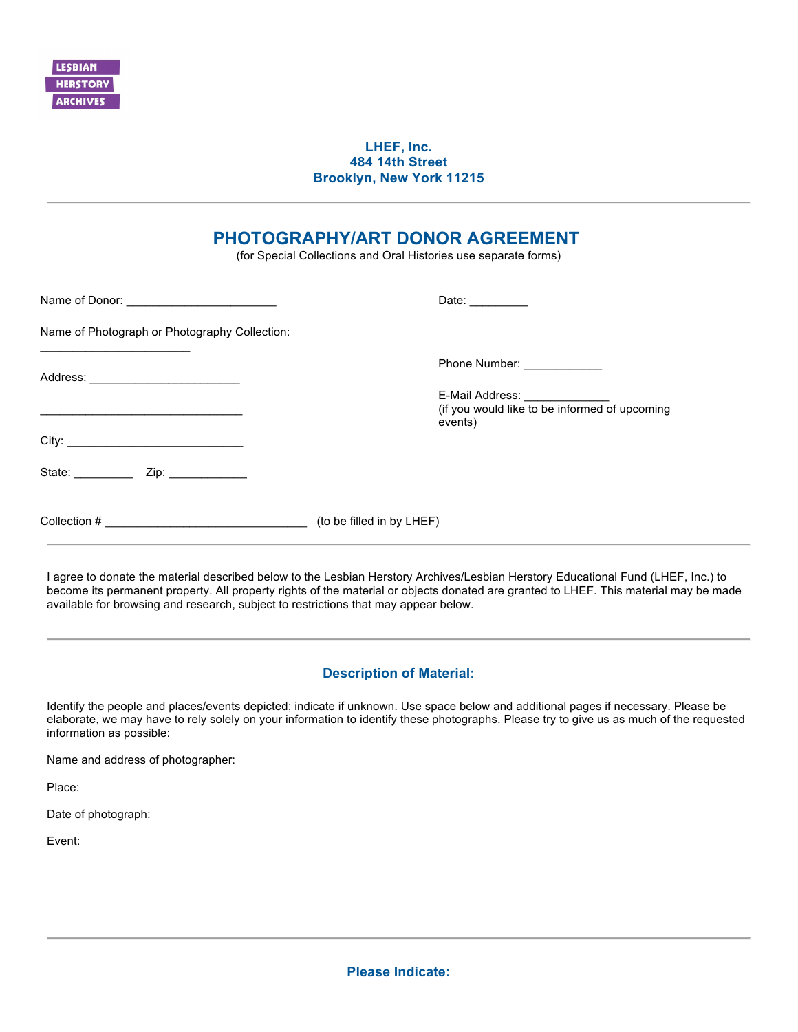

## **LHEF, Inc. 484 14th Street Brooklyn, New York 11215**

## **PHOTOGRAPHY/ART DONOR AGREEMENT**

(for Special Collections and Oral Histories use separate forms)

|                                               | Date: $\frac{1}{\sqrt{1-\frac{1}{2}}\cdot\frac{1}{2}}$ |
|-----------------------------------------------|--------------------------------------------------------|
| Name of Photograph or Photography Collection: |                                                        |
|                                               | Phone Number: _____________                            |
|                                               | events)                                                |
|                                               |                                                        |
| State: _____________ Zip: ____________        |                                                        |
|                                               |                                                        |

I agree to donate the material described below to the Lesbian Herstory Archives/Lesbian Herstory Educational Fund (LHEF, Inc.) to become its permanent property. All property rights of the material or objects donated are granted to LHEF. This material may be made available for browsing and research, subject to restrictions that may appear below.

## **Description of Material:**

Identify the people and places/events depicted; indicate if unknown. Use space below and additional pages if necessary. Please be elaborate, we may have to rely solely on your information to identify these photographs. Please try to give us as much of the requested information as possible:

Name and address of photographer:

Place:

Date of photograph:

Event: